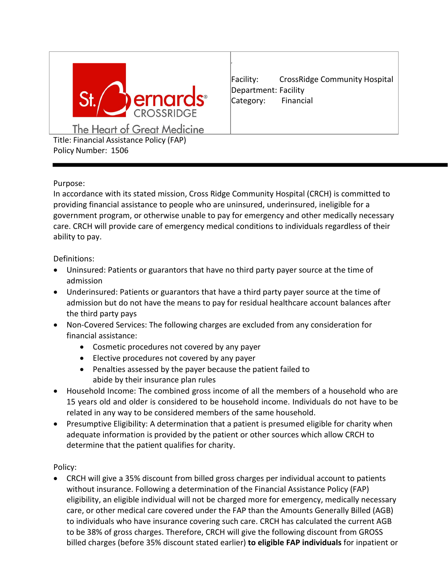

Facility: CrossRidge Community Hospital Department: Facility Category: Financial

The Heart of Great Medicine Title: Financial Assistance Policy (FAP) Policy Number: 1506

## Purpose:

In accordance with its stated mission, Cross Ridge Community Hospital (CRCH) is committed to providing financial assistance to people who are uninsured, underinsured, ineligible for a government program, or otherwise unable to pay for emergency and other medically necessary care. CRCH will provide care of emergency medical conditions to individuals regardless of their ability to pay.

#### Definitions:

- Uninsured: Patients or guarantors that have no third party payer source at the time of admission
- Underinsured: Patients or guarantors that have a third party payer source at the time of admission but do not have the means to pay for residual healthcare account balances after the third party pays
- Non-Covered Services: The following charges are excluded from any consideration for financial assistance:
	- Cosmetic procedures not covered by any payer
	- Elective procedures not covered by any payer
	- Penalties assessed by the payer because the patient failed to abide by their insurance plan rules
- Household Income: The combined gross income of all the members of a household who are 15 years old and older is considered to be household income. Individuals do not have to be related in any way to be considered members of the same household.
- Presumptive Eligibility: A determination that a patient is presumed eligible for charity when adequate information is provided by the patient or other sources which allow CRCH to determine that the patient qualifies for charity.

## Policy:

• CRCH will give a 35% discount from billed gross charges per individual account to patients without insurance. Following a determination of the Financial Assistance Policy (FAP) eligibility, an eligible individual will not be charged more for emergency, medically necessary care, or other medical care covered under the FAP than the Amounts Generally Billed (AGB) to individuals who have insurance covering such care. CRCH has calculated the current AGB to be 38% of gross charges. Therefore, CRCH will give the following discount from GROSS billed charges (before 35% discount stated earlier) **to eligible FAP individuals** for inpatient or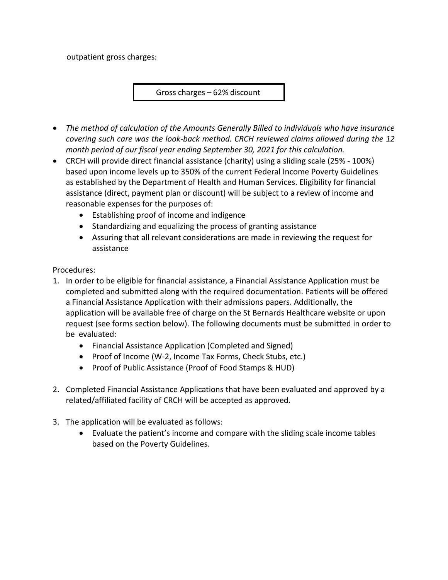outpatient gross charges:

Gross charges – 62% discount

- *The method of calculation of the Amounts Generally Billed to individuals who have insurance covering such care was the look-back method. CRCH reviewed claims allowed during the 12 month period of our fiscal year ending September 30, 2021 for this calculation.*
- CRCH will provide direct financial assistance (charity) using a sliding scale (25% 100%) based upon income levels up to 350% of the current Federal Income Poverty Guidelines as established by the Department of Health and Human Services. Eligibility for financial assistance (direct, payment plan or discount) will be subject to a review of income and reasonable expenses for the purposes of:
	- Establishing proof of income and indigence
	- Standardizing and equalizing the process of granting assistance
	- Assuring that all relevant considerations are made in reviewing the request for assistance

Procedures:

- 1. In order to be eligible for financial assistance, a Financial Assistance Application must be completed and submitted along with the required documentation. Patients will be offered a Financial Assistance Application with their admissions papers. Additionally, the application will be available free of charge on the St Bernards Healthcare website or upon request (see forms section below). The following documents must be submitted in order to be evaluated:
	- Financial Assistance Application (Completed and Signed)
	- Proof of Income (W-2, Income Tax Forms, Check Stubs, etc.)
	- Proof of Public Assistance (Proof of Food Stamps & HUD)
- 2. Completed Financial Assistance Applications that have been evaluated and approved by a related/affiliated facility of CRCH will be accepted as approved.
- 3. The application will be evaluated as follows:
	- Evaluate the patient's income and compare with the sliding scale income tables based on the Poverty Guidelines.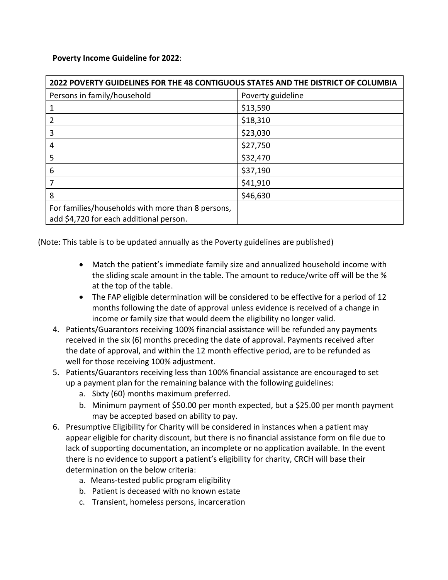**Poverty Income Guideline for 2022**:

| 2022 POVERTY GUIDELINES FOR THE 48 CONTIGUOUS STATES AND THE DISTRICT OF COLUMBIA            |                   |
|----------------------------------------------------------------------------------------------|-------------------|
| Persons in family/household                                                                  | Poverty guideline |
|                                                                                              | \$13,590          |
|                                                                                              | \$18,310          |
| 3                                                                                            | \$23,030          |
| 4                                                                                            | \$27,750          |
| 5                                                                                            | \$32,470          |
| 6                                                                                            | \$37,190          |
|                                                                                              | \$41,910          |
| 8                                                                                            | \$46,630          |
| For families/households with more than 8 persons,<br>add \$4,720 for each additional person. |                   |

(Note: This table is to be updated annually as the Poverty guidelines are published)

- Match the patient's immediate family size and annualized household income with the sliding scale amount in the table. The amount to reduce/write off will be the % at the top of the table.
- The FAP eligible determination will be considered to be effective for a period of 12 months following the date of approval unless evidence is received of a change in income or family size that would deem the eligibility no longer valid.
- 4. Patients/Guarantors receiving 100% financial assistance will be refunded any payments received in the six (6) months preceding the date of approval. Payments received after the date of approval, and within the 12 month effective period, are to be refunded as well for those receiving 100% adjustment.
- 5. Patients/Guarantors receiving less than 100% financial assistance are encouraged to set up a payment plan for the remaining balance with the following guidelines:
	- a. Sixty (60) months maximum preferred.
	- b. Minimum payment of \$50.00 per month expected, but a \$25.00 per month payment may be accepted based on ability to pay.
- 6. Presumptive Eligibility for Charity will be considered in instances when a patient may appear eligible for charity discount, but there is no financial assistance form on file due to lack of supporting documentation, an incomplete or no application available. In the event there is no evidence to support a patient's eligibility for charity, CRCH will base their determination on the below criteria:
	- a. Means-tested public program eligibility
	- b. Patient is deceased with no known estate
	- c. Transient, homeless persons, incarceration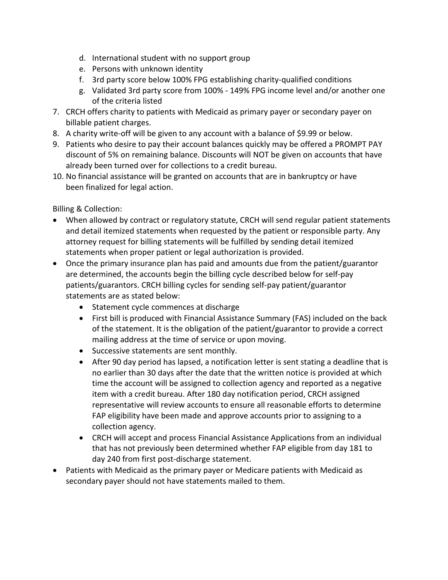- d. International student with no support group
- e. Persons with unknown identity
- f. 3rd party score below 100% FPG establishing charity-qualified conditions
- g. Validated 3rd party score from 100% 149% FPG income level and/or another one of the criteria listed
- 7. CRCH offers charity to patients with Medicaid as primary payer or secondary payer on billable patient charges.
- 8. A charity write-off will be given to any account with a balance of \$9.99 or below.
- 9. Patients who desire to pay their account balances quickly may be offered a PROMPT PAY discount of 5% on remaining balance. Discounts will NOT be given on accounts that have already been turned over for collections to a credit bureau.
- 10. No financial assistance will be granted on accounts that are in bankruptcy or have been finalized for legal action.

Billing & Collection:

- When allowed by contract or regulatory statute, CRCH will send regular patient statements and detail itemized statements when requested by the patient or responsible party. Any attorney request for billing statements will be fulfilled by sending detail itemized statements when proper patient or legal authorization is provided.
- Once the primary insurance plan has paid and amounts due from the patient/guarantor are determined, the accounts begin the billing cycle described below for self-pay patients/guarantors. CRCH billing cycles for sending self-pay patient/guarantor statements are as stated below:
	- Statement cycle commences at discharge
	- First bill is produced with Financial Assistance Summary (FAS) included on the back of the statement. It is the obligation of the patient/guarantor to provide a correct mailing address at the time of service or upon moving.
	- Successive statements are sent monthly.
	- After 90 day period has lapsed, a notification letter is sent stating a deadline that is no earlier than 30 days after the date that the written notice is provided at which time the account will be assigned to collection agency and reported as a negative item with a credit bureau. After 180 day notification period, CRCH assigned representative will review accounts to ensure all reasonable efforts to determine FAP eligibility have been made and approve accounts prior to assigning to a collection agency.
	- CRCH will accept and process Financial Assistance Applications from an individual that has not previously been determined whether FAP eligible from day 181 to day 240 from first post-discharge statement.
- Patients with Medicaid as the primary payer or Medicare patients with Medicaid as secondary payer should not have statements mailed to them.